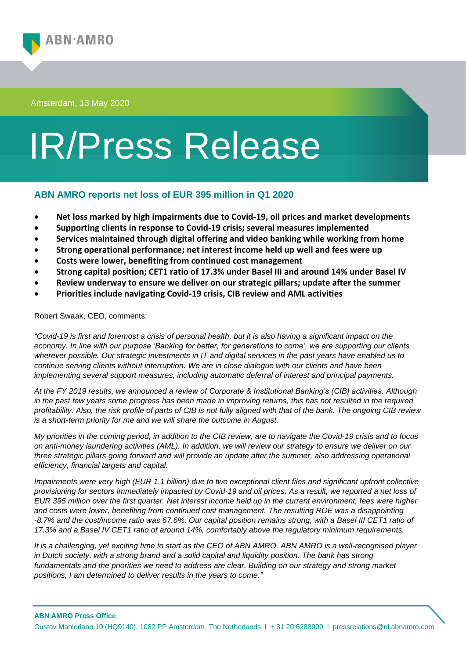

Amsterdam, 13 May 2020

## IR/Press Release

## **ABN AMRO reports net loss of EUR 395 million in Q1 2020**

- **Net loss marked by high impairments due to Covid-19, oil prices and market developments**
- **Supporting clients in response to Covid-19 crisis; several measures implemented**
- **Services maintained through digital offering and video banking while working from home**
- **Strong operational performance; net interest income held up well and fees were up**
- **Costs were lower, benefiting from continued cost management**
- **Strong capital position; CET1 ratio of 17.3% under Basel III and around 14% under Basel IV**
- **Review underway to ensure we deliver on our strategic pillars; update after the summer**
- **Priorities include navigating Covid-19 crisis, CIB review and AML activities**

Robert Swaak, CEO, comments:

*"Covid-19 is first and foremost a crisis of personal health, but it is also having a significant impact on the economy. In line with our purpose 'Banking for better, for generations to come', we are supporting our clients wherever possible. Our strategic investments in IT and digital services in the past years have enabled us to continue serving clients without interruption. We are in close dialogue with our clients and have been implementing several support measures, including automatic deferral of interest and principal payments.*

*At the FY 2019 results, we announced a review of Corporate & Institutional Banking's (CIB) activities. Although*  in the past few years some progress has been made in improving returns, this has not resulted in the required *profitability. Also, the risk profile of parts of CIB is not fully aligned with that of the bank. The ongoing CIB review is a short-term priority for me and we will share the outcome in August.* 

*My priorities in the coming period, in addition to the CIB review, are to navigate the Covid-19 crisis and to focus on anti-money laundering activities (AML). In addition, we will review our strategy to ensure we deliver on our three strategic pillars going forward and will provide an update after the summer, also addressing operational efficiency, financial targets and capital.* 

*Impairments were very high (EUR 1.1 billion) due to two exceptional client files and significant upfront collective provisioning for sectors immediately impacted by Covid-19 and oil prices. As a result, we reported a net loss of EUR 395 million over the first quarter. Net interest income held up in the current environment, fees were higher and costs were lower, benefiting from continued cost management. The resulting ROE was a disappointing -8.7% and the cost/income ratio was 67.6%. Our capital position remains strong, with a Basel III CET1 ratio of 17.3% and a Basel IV CET1 ratio of around 14%, comfortably above the regulatory minimum requirements.* 

*It is a challenging, yet exciting time to start as the CEO of ABN AMRO. ABN AMRO is a well-recognised player in Dutch society, with a strong brand and a solid capital and liquidity position. The bank has strong fundamentals and the priorities we need to address are clear. Building on our strategy and strong market positions, I am determined to deliver results in the years to come."*